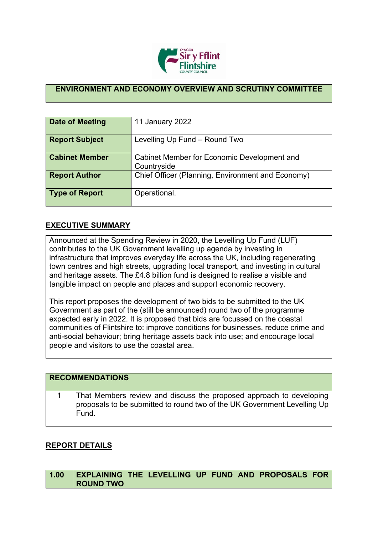

## **ENVIRONMENT AND ECONOMY OVERVIEW AND SCRUTINY COMMITTEE**

| Date of Meeting       | 11 January 2022                                            |
|-----------------------|------------------------------------------------------------|
| <b>Report Subject</b> | Levelling Up Fund - Round Two                              |
| <b>Cabinet Member</b> | Cabinet Member for Economic Development and<br>Countryside |
| <b>Report Author</b>  | Chief Officer (Planning, Environment and Economy)          |
| <b>Type of Report</b> | Operational.                                               |

## **EXECUTIVE SUMMARY**

Announced at the Spending Review in 2020, the Levelling Up Fund (LUF) contributes to the UK Government levelling up agenda by investing in infrastructure that improves everyday life across the UK, including regenerating town centres and high streets, upgrading local transport, and investing in cultural and heritage assets. The £4.8 billion fund is designed to realise a visible and tangible impact on people and places and support economic recovery.

This report proposes the development of two bids to be submitted to the UK Government as part of the (still be announced) round two of the programme expected early in 2022. It is proposed that bids are focussed on the coastal communities of Flintshire to: improve conditions for businesses, reduce crime and anti-social behaviour; bring heritage assets back into use; and encourage local people and visitors to use the coastal area.

| <b>RECOMMENDATIONS</b> |                                                                                                                                                          |  |  |  |
|------------------------|----------------------------------------------------------------------------------------------------------------------------------------------------------|--|--|--|
|                        | That Members review and discuss the proposed approach to developing<br>proposals to be submitted to round two of the UK Government Levelling Up<br>Fund. |  |  |  |

## **REPORT DETAILS**

|           |  |  | 1.00 EXPLAINING THE LEVELLING UP FUND AND PROPOSALS FOR |  |
|-----------|--|--|---------------------------------------------------------|--|
| ROUND TWO |  |  |                                                         |  |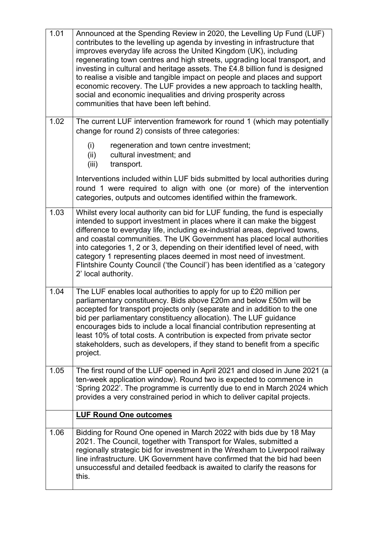| 1.01 | Announced at the Spending Review in 2020, the Levelling Up Fund (LUF)<br>contributes to the levelling up agenda by investing in infrastructure that<br>improves everyday life across the United Kingdom (UK), including<br>regenerating town centres and high streets, upgrading local transport, and<br>investing in cultural and heritage assets. The £4.8 billion fund is designed<br>to realise a visible and tangible impact on people and places and support<br>economic recovery. The LUF provides a new approach to tackling health,<br>social and economic inequalities and driving prosperity across<br>communities that have been left behind. |
|------|-----------------------------------------------------------------------------------------------------------------------------------------------------------------------------------------------------------------------------------------------------------------------------------------------------------------------------------------------------------------------------------------------------------------------------------------------------------------------------------------------------------------------------------------------------------------------------------------------------------------------------------------------------------|
| 1.02 | The current LUF intervention framework for round 1 (which may potentially<br>change for round 2) consists of three categories:                                                                                                                                                                                                                                                                                                                                                                                                                                                                                                                            |
|      | (i)<br>regeneration and town centre investment;<br>(ii)<br>cultural investment; and<br>transport.<br>(iii)                                                                                                                                                                                                                                                                                                                                                                                                                                                                                                                                                |
|      | Interventions included within LUF bids submitted by local authorities during<br>round 1 were required to align with one (or more) of the intervention<br>categories, outputs and outcomes identified within the framework.                                                                                                                                                                                                                                                                                                                                                                                                                                |
| 1.03 | Whilst every local authority can bid for LUF funding, the fund is especially<br>intended to support investment in places where it can make the biggest<br>difference to everyday life, including ex-industrial areas, deprived towns,<br>and coastal communities. The UK Government has placed local authorities<br>into categories 1, 2 or 3, depending on their identified level of need, with<br>category 1 representing places deemed in most need of investment.<br>Flintshire County Council ('the Council') has been identified as a 'category<br>2' local authority.                                                                              |
| 1.04 | The LUF enables local authorities to apply for up to £20 million per<br>parliamentary constituency. Bids above £20m and below £50m will be<br>accepted for transport projects only (separate and in addition to the one<br>bid per parliamentary constituency allocation). The LUF guidance<br>encourages bids to include a local financial contribution representing at<br>least 10% of total costs. A contribution is expected from private sector<br>stakeholders, such as developers, if they stand to benefit from a specific<br>project.                                                                                                            |
| 1.05 | The first round of the LUF opened in April 2021 and closed in June 2021 (a<br>ten-week application window). Round two is expected to commence in<br>'Spring 2022'. The programme is currently due to end in March 2024 which<br>provides a very constrained period in which to deliver capital projects.                                                                                                                                                                                                                                                                                                                                                  |
|      | <b>LUF Round One outcomes</b>                                                                                                                                                                                                                                                                                                                                                                                                                                                                                                                                                                                                                             |
| 1.06 | Bidding for Round One opened in March 2022 with bids due by 18 May<br>2021. The Council, together with Transport for Wales, submitted a<br>regionally strategic bid for investment in the Wrexham to Liverpool railway<br>line infrastructure. UK Government have confirmed that the bid had been<br>unsuccessful and detailed feedback is awaited to clarify the reasons for<br>this.                                                                                                                                                                                                                                                                    |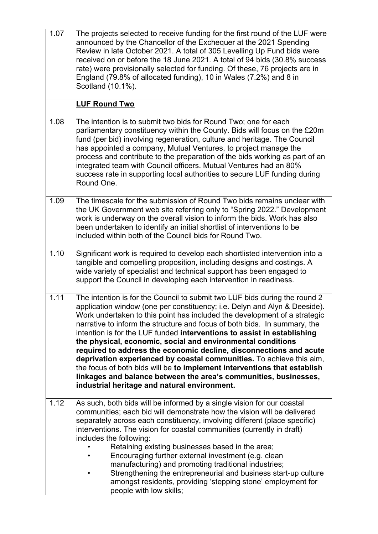| 1.07 | The projects selected to receive funding for the first round of the LUF were<br>announced by the Chancellor of the Exchequer at the 2021 Spending<br>Review in late October 2021. A total of 305 Levelling Up Fund bids were<br>received on or before the 18 June 2021. A total of 94 bids (30.8% success<br>rate) were provisionally selected for funding. Of these, 76 projects are in<br>England (79.8% of allocated funding), 10 in Wales (7.2%) and 8 in<br>Scotland (10.1%).                                                                                                                                                                                                                                                                                                                        |
|------|-----------------------------------------------------------------------------------------------------------------------------------------------------------------------------------------------------------------------------------------------------------------------------------------------------------------------------------------------------------------------------------------------------------------------------------------------------------------------------------------------------------------------------------------------------------------------------------------------------------------------------------------------------------------------------------------------------------------------------------------------------------------------------------------------------------|
|      | <b>LUF Round Two</b>                                                                                                                                                                                                                                                                                                                                                                                                                                                                                                                                                                                                                                                                                                                                                                                      |
| 1.08 | The intention is to submit two bids for Round Two; one for each<br>parliamentary constituency within the County. Bids will focus on the £20m<br>fund (per bid) involving regeneration, culture and heritage. The Council<br>has appointed a company, Mutual Ventures, to project manage the<br>process and contribute to the preparation of the bids working as part of an<br>integrated team with Council officers. Mutual Ventures had an 80%<br>success rate in supporting local authorities to secure LUF funding during<br>Round One.                                                                                                                                                                                                                                                                |
| 1.09 | The timescale for the submission of Round Two bids remains unclear with<br>the UK Government web site referring only to "Spring 2022." Development<br>work is underway on the overall vision to inform the bids. Work has also<br>been undertaken to identify an initial shortlist of interventions to be<br>included within both of the Council bids for Round Two.                                                                                                                                                                                                                                                                                                                                                                                                                                      |
| 1.10 | Significant work is required to develop each shortlisted intervention into a<br>tangible and compelling proposition, including designs and costings. A<br>wide variety of specialist and technical support has been engaged to<br>support the Council in developing each intervention in readiness.                                                                                                                                                                                                                                                                                                                                                                                                                                                                                                       |
| 1.11 | The intention is for the Council to submit two LUF bids during the round 2<br>application window (one per constituency; i.e. Delyn and Alyn & Deeside).<br>Work undertaken to this point has included the development of a strategic<br>narrative to inform the structure and focus of both bids. In summary, the<br>intention is for the LUF funded interventions to assist in establishing<br>the physical, economic, social and environmental conditions<br>required to address the economic decline, disconnections and acute<br>deprivation experienced by coastal communities. To achieve this aim,<br>the focus of both bids will be to implement interventions that establish<br>linkages and balance between the area's communities, businesses,<br>industrial heritage and natural environment. |
| 1.12 | As such, both bids will be informed by a single vision for our coastal<br>communities; each bid will demonstrate how the vision will be delivered<br>separately across each constituency, involving different (place specific)<br>interventions. The vision for coastal communities (currently in draft)<br>includes the following:<br>Retaining existing businesses based in the area;<br>Encouraging further external investment (e.g. clean<br>manufacturing) and promoting traditional industries;<br>Strengthening the entrepreneurial and business start-up culture<br>amongst residents, providing 'stepping stone' employment for<br>people with low skills;                                                                                                                                      |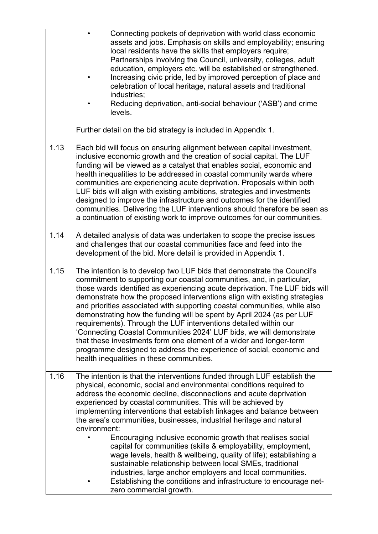|      | Connecting pockets of deprivation with world class economic<br>assets and jobs. Emphasis on skills and employability; ensuring<br>local residents have the skills that employers require;<br>Partnerships involving the Council, university, colleges, adult<br>education, employers etc. will be established or strengthened.<br>Increasing civic pride, led by improved perception of place and<br>celebration of local heritage, natural assets and traditional<br>industries;<br>Reducing deprivation, anti-social behaviour ('ASB') and crime<br>levels.                                                                                                                                                                                                                                                                                                                     |
|------|-----------------------------------------------------------------------------------------------------------------------------------------------------------------------------------------------------------------------------------------------------------------------------------------------------------------------------------------------------------------------------------------------------------------------------------------------------------------------------------------------------------------------------------------------------------------------------------------------------------------------------------------------------------------------------------------------------------------------------------------------------------------------------------------------------------------------------------------------------------------------------------|
|      | Further detail on the bid strategy is included in Appendix 1.                                                                                                                                                                                                                                                                                                                                                                                                                                                                                                                                                                                                                                                                                                                                                                                                                     |
| 1.13 | Each bid will focus on ensuring alignment between capital investment,<br>inclusive economic growth and the creation of social capital. The LUF<br>funding will be viewed as a catalyst that enables social, economic and<br>health inequalities to be addressed in coastal community wards where<br>communities are experiencing acute deprivation. Proposals within both<br>LUF bids will align with existing ambitions, strategies and investments<br>designed to improve the infrastructure and outcomes for the identified<br>communities. Delivering the LUF interventions should therefore be seen as<br>a continuation of existing work to improve outcomes for our communities.                                                                                                                                                                                           |
| 1.14 | A detailed analysis of data was undertaken to scope the precise issues<br>and challenges that our coastal communities face and feed into the<br>development of the bid. More detail is provided in Appendix 1.                                                                                                                                                                                                                                                                                                                                                                                                                                                                                                                                                                                                                                                                    |
| 1.15 | The intention is to develop two LUF bids that demonstrate the Council's<br>commitment to supporting our coastal communities, and, in particular,<br>those wards identified as experiencing acute deprivation. The LUF bids will<br>demonstrate how the proposed interventions align with existing strategies<br>and priorities associated with supporting coastal communities, while also<br>demonstrating how the funding will be spent by April 2024 (as per LUF<br>requirements). Through the LUF interventions detailed within our<br>'Connecting Coastal Communities 2024' LUF bids, we will demonstrate<br>that these investments form one element of a wider and longer-term<br>programme designed to address the experience of social, economic and<br>health inequalities in these communities.                                                                          |
| 1.16 | The intention is that the interventions funded through LUF establish the<br>physical, economic, social and environmental conditions required to<br>address the economic decline, disconnections and acute deprivation<br>experienced by coastal communities. This will be achieved by<br>implementing interventions that establish linkages and balance between<br>the area's communities, businesses, industrial heritage and natural<br>environment:<br>Encouraging inclusive economic growth that realises social<br>capital for communities (skills & employability, employment,<br>wage levels, health & wellbeing, quality of life); establishing a<br>sustainable relationship between local SMEs, traditional<br>industries, large anchor employers and local communities.<br>Establishing the conditions and infrastructure to encourage net-<br>zero commercial growth. |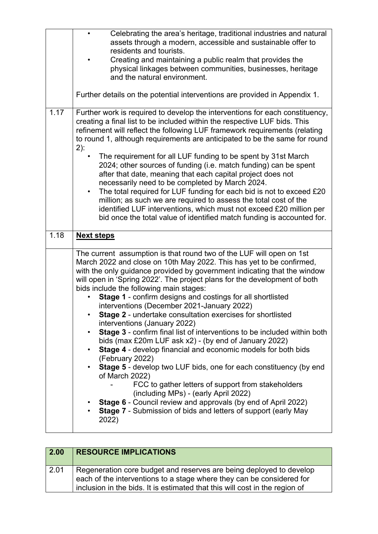|      | Celebrating the area's heritage, traditional industries and natural<br>$\bullet$<br>assets through a modern, accessible and sustainable offer to<br>residents and tourists.<br>Creating and maintaining a public realm that provides the<br>physical linkages between communities, businesses, heritage<br>and the natural environment. |  |  |  |
|------|-----------------------------------------------------------------------------------------------------------------------------------------------------------------------------------------------------------------------------------------------------------------------------------------------------------------------------------------|--|--|--|
|      | Further details on the potential interventions are provided in Appendix 1.                                                                                                                                                                                                                                                              |  |  |  |
| 1.17 | Further work is required to develop the interventions for each constituency,<br>creating a final list to be included within the respective LUF bids. This<br>refinement will reflect the following LUF framework requirements (relating<br>to round 1, although requirements are anticipated to be the same for round<br>$2)$ :         |  |  |  |
|      | The requirement for all LUF funding to be spent by 31st March<br>2024; other sources of funding (i.e. match funding) can be spent<br>after that date, meaning that each capital project does not<br>necessarily need to be completed by March 2024.                                                                                     |  |  |  |
|      | The total required for LUF funding for each bid is not to exceed £20<br>$\bullet$<br>million; as such we are required to assess the total cost of the<br>identified LUF interventions, which must not exceed £20 million per<br>bid once the total value of identified match funding is accounted for.                                  |  |  |  |
| 1.18 | <b>Next steps</b>                                                                                                                                                                                                                                                                                                                       |  |  |  |
|      |                                                                                                                                                                                                                                                                                                                                         |  |  |  |

| 2.00 | <b>RESOURCE IMPLICATIONS</b>                                                                                                                                                                                                |
|------|-----------------------------------------------------------------------------------------------------------------------------------------------------------------------------------------------------------------------------|
| 2.01 | Regeneration core budget and reserves are being deployed to develop<br>each of the interventions to a stage where they can be considered for<br>inclusion in the bids. It is estimated that this will cost in the region of |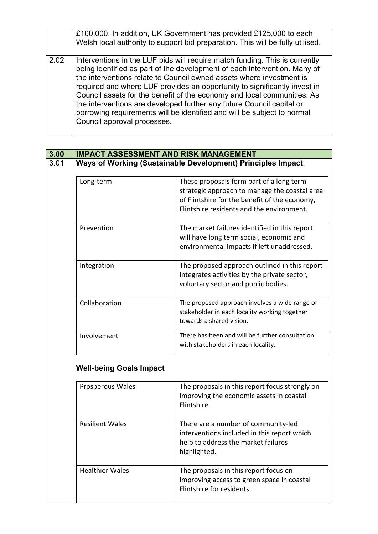|      | £100,000. In addition, UK Government has provided £125,000 to each<br>Welsh local authority to support bid preparation. This will be fully utilised.                                                                                                                                                                                                                                                                                                                                                                                                                        |
|------|-----------------------------------------------------------------------------------------------------------------------------------------------------------------------------------------------------------------------------------------------------------------------------------------------------------------------------------------------------------------------------------------------------------------------------------------------------------------------------------------------------------------------------------------------------------------------------|
| 2.02 | Interventions in the LUF bids will require match funding. This is currently<br>being identified as part of the development of each intervention. Many of<br>the interventions relate to Council owned assets where investment is<br>required and where LUF provides an opportunity to significantly invest in<br>Council assets for the benefit of the economy and local communities. As<br>the interventions are developed further any future Council capital or<br>borrowing requirements will be identified and will be subject to normal<br>Council approval processes. |

|                                                             | <b>IMPACT ASSESSMENT AND RISK MANAGEMENT</b>                                              |  |  |  |
|-------------------------------------------------------------|-------------------------------------------------------------------------------------------|--|--|--|
| Ways of Working (Sustainable Development) Principles Impact |                                                                                           |  |  |  |
| Long-term                                                   | These proposals form part of a long term<br>strategic approach to manage the coastal area |  |  |  |
|                                                             | of Flintshire for the benefit of the economy,                                             |  |  |  |
|                                                             | Flintshire residents and the environment.                                                 |  |  |  |
| Prevention                                                  | The market failures identified in this report                                             |  |  |  |
|                                                             | will have long term social, economic and                                                  |  |  |  |
|                                                             | environmental impacts if left unaddressed.                                                |  |  |  |
| Integration                                                 | The proposed approach outlined in this report                                             |  |  |  |
|                                                             | integrates activities by the private sector,                                              |  |  |  |
|                                                             | voluntary sector and public bodies.                                                       |  |  |  |
| Collaboration                                               | The proposed approach involves a wide range of                                            |  |  |  |
|                                                             | stakeholder in each locality working together                                             |  |  |  |
|                                                             | towards a shared vision.                                                                  |  |  |  |
| Involvement                                                 | There has been and will be further consultation                                           |  |  |  |
|                                                             | with stakeholders in each locality.                                                       |  |  |  |
| <b>Well-being Goals Impact</b>                              |                                                                                           |  |  |  |
| Prosperous Wales                                            | The proposals in this report focus strongly on                                            |  |  |  |
|                                                             | improving the economic assets in coastal                                                  |  |  |  |
|                                                             | Flintshire.                                                                               |  |  |  |
| <b>Resilient Wales</b>                                      | There are a number of community-led                                                       |  |  |  |
|                                                             | interventions included in this report which                                               |  |  |  |
|                                                             | help to address the market failures                                                       |  |  |  |
|                                                             | highlighted.                                                                              |  |  |  |
| <b>Healthier Wales</b>                                      | The proposals in this report focus on                                                     |  |  |  |
|                                                             | improving access to green space in coastal                                                |  |  |  |

Flintshire for residents.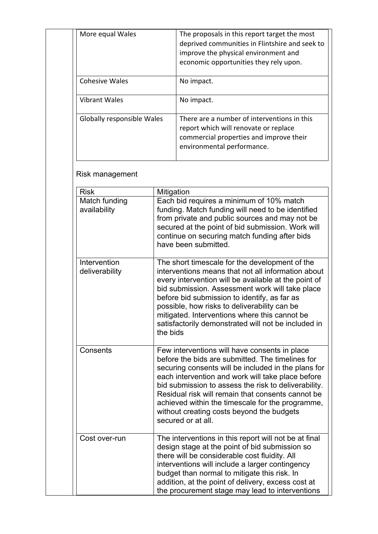| More equal Wales           | The proposals in this report target the most<br>deprived communities in Flintshire and seek to<br>improve the physical environment and<br>economic opportunities they rely upon. |
|----------------------------|----------------------------------------------------------------------------------------------------------------------------------------------------------------------------------|
| <b>Cohesive Wales</b>      | No impact.                                                                                                                                                                       |
| <b>Vibrant Wales</b>       | No impact.                                                                                                                                                                       |
| Globally responsible Wales | There are a number of interventions in this<br>report which will renovate or replace<br>commercial properties and improve their<br>environmental performance.                    |

## Risk management

| <b>Risk</b>                    | Mitigation                                                                                                                                                                                                                                                                                                                                                                                                                                        |
|--------------------------------|---------------------------------------------------------------------------------------------------------------------------------------------------------------------------------------------------------------------------------------------------------------------------------------------------------------------------------------------------------------------------------------------------------------------------------------------------|
| Match funding<br>availability  | Each bid requires a minimum of 10% match<br>funding. Match funding will need to be identified<br>from private and public sources and may not be<br>secured at the point of bid submission. Work will<br>continue on securing match funding after bids<br>have been submitted.                                                                                                                                                                     |
| Intervention<br>deliverability | The short timescale for the development of the<br>interventions means that not all information about<br>every intervention will be available at the point of<br>bid submission. Assessment work will take place<br>before bid submission to identify, as far as<br>possible, how risks to deliverability can be<br>mitigated. Interventions where this cannot be<br>satisfactorily demonstrated will not be included in<br>the bids               |
| Consents                       | Few interventions will have consents in place<br>before the bids are submitted. The timelines for<br>securing consents will be included in the plans for<br>each intervention and work will take place before<br>bid submission to assess the risk to deliverability.<br>Residual risk will remain that consents cannot be<br>achieved within the timescale for the programme,<br>without creating costs beyond the budgets<br>secured or at all. |
| Cost over-run                  | The interventions in this report will not be at final<br>design stage at the point of bid submission so<br>there will be considerable cost fluidity. All<br>interventions will include a larger contingency<br>budget than normal to mitigate this risk. In<br>addition, at the point of delivery, excess cost at<br>the procurement stage may lead to interventions                                                                              |